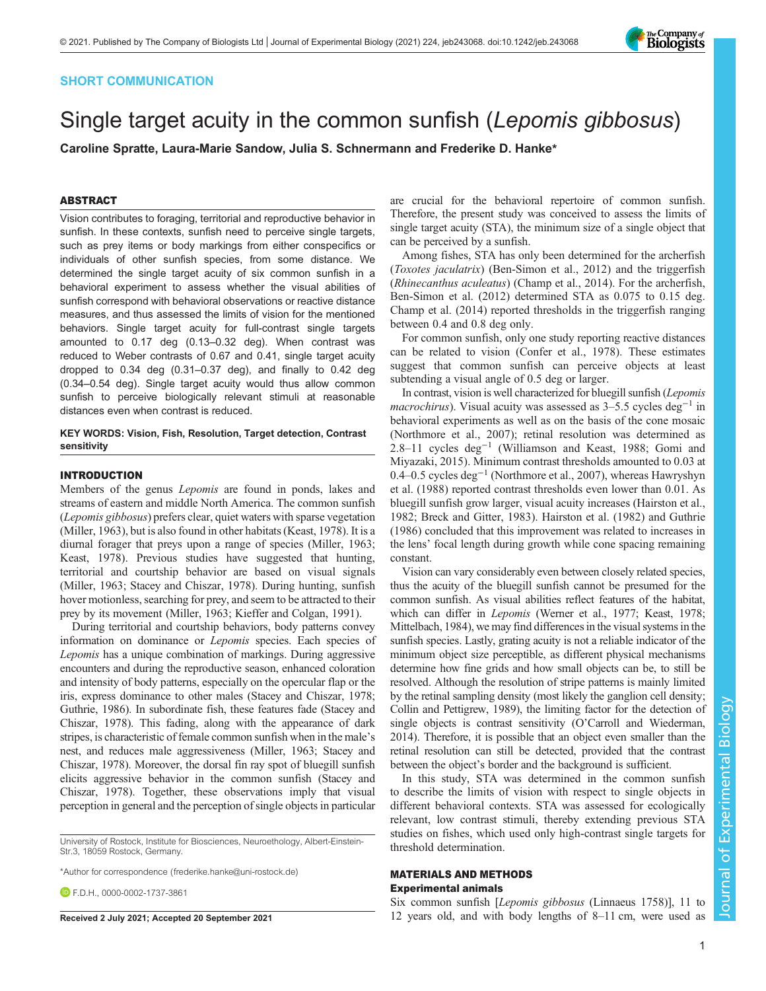# SHORT COMMUNICATION

# Single target acuity in the common sunfish (Lepomis gibbosus)

Caroline Spratte, Laura-Marie Sandow, Julia S. Schnermann and Frederike D. Hanke\*

# ABSTRACT

Vision contributes to foraging, territorial and reproductive behavior in sunfish. In these contexts, sunfish need to perceive single targets, such as prey items or body markings from either conspecifics or individuals of other sunfish species, from some distance. We determined the single target acuity of six common sunfish in a behavioral experiment to assess whether the visual abilities of sunfish correspond with behavioral observations or reactive distance measures, and thus assessed the limits of vision for the mentioned behaviors. Single target acuity for full-contrast single targets amounted to 0.17 deg (0.13–0.32 deg). When contrast was reduced to Weber contrasts of 0.67 and 0.41, single target acuity dropped to 0.34 deg (0.31–0.37 deg), and finally to 0.42 deg (0.34–0.54 deg). Single target acuity would thus allow common sunfish to perceive biologically relevant stimuli at reasonable distances even when contrast is reduced.

## KEY WORDS: Vision, Fish, Resolution, Target detection, Contrast sensitivity

## INTRODUCTION

Members of the genus Lepomis are found in ponds, lakes and streams of eastern and middle North America. The common sunfish (Lepomis gibbosus) prefers clear, quiet waters with sparse vegetation [\(Miller, 1963](#page-4-0)), but is also found in other habitats ([Keast, 1978\)](#page-4-0). It is a diurnal forager that preys upon a range of species [\(Miller, 1963](#page-4-0); [Keast, 1978](#page-4-0)). Previous studies have suggested that hunting, territorial and courtship behavior are based on visual signals [\(Miller, 1963](#page-4-0); [Stacey and Chiszar, 1978\)](#page-4-0). During hunting, sunfish hover motionless, searching for prey, and seem to be attracted to their prey by its movement ([Miller, 1963; Kieffer and Colgan, 1991](#page-4-0)).

During territorial and courtship behaviors, body patterns convey information on dominance or Lepomis species. Each species of Lepomis has a unique combination of markings. During aggressive encounters and during the reproductive season, enhanced coloration and intensity of body patterns, especially on the opercular flap or the iris, express dominance to other males ([Stacey and Chiszar, 1978](#page-4-0); [Guthrie, 1986](#page-4-0)). In subordinate fish, these features fade [\(Stacey and](#page-4-0) [Chiszar, 1978\)](#page-4-0). This fading, along with the appearance of dark stripes, is characteristic of female common sunfish when in the male's nest, and reduces male aggressiveness [\(Miller, 1963](#page-4-0); [Stacey and](#page-4-0) [Chiszar, 1978\)](#page-4-0). Moreover, the dorsal fin ray spot of bluegill sunfish elicits aggressive behavior in the common sunfish [\(Stacey and](#page-4-0) [Chiszar, 1978\)](#page-4-0). Together, these observations imply that visual perception in general and the perception of single objects in particular

University of Rostock, Institute for Biosciences, Neuroethology, Albert-Einstein-Str.3, 18059 Rostock, Germany.

\*Author for correspondence [\(frederike.hanke@uni-rostock.de](mailto:frederike.hanke@uni-rostock.de))

**DEDH0000-0002-1737-3861** 

are crucial for the behavioral repertoire of common sunfish. Therefore, the present study was conceived to assess the limits of single target acuity (STA), the minimum size of a single object that can be perceived by a sunfish.

Among fishes, STA has only been determined for the archerfish (Toxotes jaculatrix) [\(Ben-Simon et al., 2012\)](#page-3-0) and the triggerfish (Rhinecanthus aculeatus) ([Champ et al., 2014](#page-3-0)). For the archerfish, [Ben-Simon et al. \(2012\)](#page-3-0) determined STA as 0.075 to 0.15 deg. [Champ et al. \(2014\)](#page-3-0) reported thresholds in the triggerfish ranging between 0.4 and 0.8 deg only.

For common sunfish, only one study reporting reactive distances can be related to vision [\(Confer et al., 1978](#page-3-0)). These estimates suggest that common sunfish can perceive objects at least subtending a visual angle of 0.5 deg or larger.

In contrast, vision is well characterized for bluegill sunfish (Lepomis *macrochirus*). Visual acuity was assessed as  $3-5.5$  cycles deg<sup>-1</sup> in behavioral experiments as well as on the basis of the cone mosaic [\(Northmore et al., 2007](#page-4-0)); retinal resolution was determined as 2.8–11 cycles deg−<sup>1</sup> ([Williamson and Keast, 1988](#page-4-0); [Gomi and](#page-3-0) [Miyazaki, 2015\)](#page-3-0). Minimum contrast thresholds amounted to 0.03 at 0.4–0.5 cycles deg−<sup>1</sup> ([Northmore et al., 2007](#page-4-0)), whereas [Hawryshyn](#page-4-0) [et al. \(1988\)](#page-4-0) reported contrast thresholds even lower than 0.01. As bluegill sunfish grow larger, visual acuity increases [\(Hairston et al.,](#page-4-0) [1982;](#page-4-0) [Breck and Gitter, 1983\)](#page-3-0). [Hairston et al. \(1982\)](#page-4-0) and [Guthrie](#page-4-0) [\(1986\)](#page-4-0) concluded that this improvement was related to increases in the lens' focal length during growth while cone spacing remaining constant.

Vision can vary considerably even between closely related species, thus the acuity of the bluegill sunfish cannot be presumed for the common sunfish. As visual abilities reflect features of the habitat, which can differ in *Lepomis* ([Werner et al., 1977](#page-4-0); [Keast, 1978](#page-4-0); [Mittelbach, 1984\)](#page-4-0), we may find differences in the visual systems in the sunfish species. Lastly, grating acuity is not a reliable indicator of the minimum object size perceptible, as different physical mechanisms determine how fine grids and how small objects can be, to still be resolved. Although the resolution of stripe patterns is mainly limited by the retinal sampling density (most likely the ganglion cell density; [Collin and Pettigrew, 1989\)](#page-3-0), the limiting factor for the detection of single objects is contrast sensitivity (O'[Carroll and Wiederman,](#page-4-0) [2014\)](#page-4-0). Therefore, it is possible that an object even smaller than the retinal resolution can still be detected, provided that the contrast between the object's border and the background is sufficient.

In this study, STA was determined in the common sunfish to describe the limits of vision with respect to single objects in different behavioral contexts. STA was assessed for ecologically relevant, low contrast stimuli, thereby extending previous STA studies on fishes, which used only high-contrast single targets for threshold determination.

# MATERIALS AND METHODS Experimental animals

Six common sunfish [Lepomis gibbosus (Linnaeus 1758)], 11 to Received 2 July 2021; Accepted 20 September 2021 12 years old, and with body lengths of 8–11 cm, were used as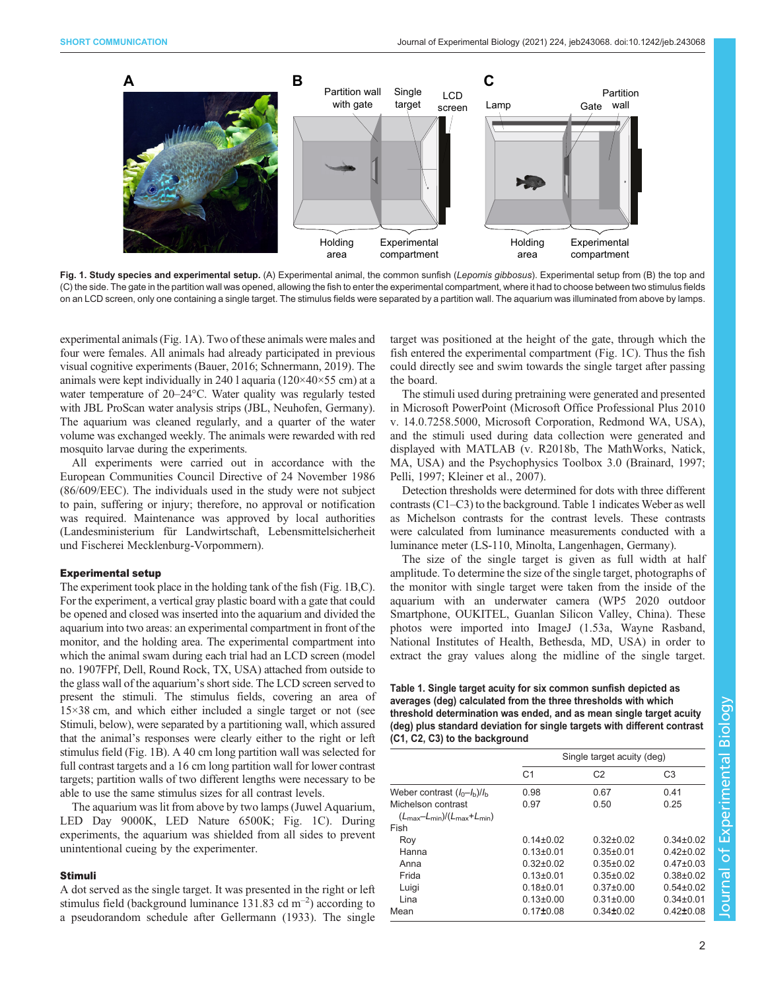<span id="page-1-0"></span>

Fig. 1. Study species and experimental setup. (A) Experimental animal, the common sunfish (Lepomis gibbosus). Experimental setup from (B) the top and (C) the side. The gate in the partition wall was opened, allowing the fish to enter the experimental compartment, where it had to choose between two stimulus fields on an LCD screen, only one containing a single target. The stimulus fields were separated by a partition wall. The aquarium was illuminated from above by lamps.

experimental animals (Fig. 1A). Two of these animals were males and four were females. All animals had already participated in previous visual cognitive experiments ([Bauer, 2016;](#page-3-0) [Schnermann, 2019\)](#page-4-0). The animals were kept individually in 240 l aquaria ( $120 \times 40 \times 55$  cm) at a water temperature of 20–24°C. Water quality was regularly tested with JBL ProScan water analysis strips (JBL, Neuhofen, Germany). The aquarium was cleaned regularly, and a quarter of the water volume was exchanged weekly. The animals were rewarded with red mosquito larvae during the experiments.

All experiments were carried out in accordance with the European Communities Council Directive of 24 November 1986 (86/609/EEC). The individuals used in the study were not subject to pain, suffering or injury; therefore, no approval or notification was required. Maintenance was approved by local authorities (Landesministerium für Landwirtschaft, Lebensmittelsicherheit und Fischerei Mecklenburg-Vorpommern).

#### Experimental setup

The experiment took place in the holding tank of the fish (Fig. 1B,C). For the experiment, a vertical gray plastic board with a gate that could be opened and closed was inserted into the aquarium and divided the aquarium into two areas: an experimental compartment in front of the monitor, and the holding area. The experimental compartment into which the animal swam during each trial had an LCD screen (model no. 1907FPf, Dell, Round Rock, TX, USA) attached from outside to the glass wall of the aquarium's short side. The LCD screen served to present the stimuli. The stimulus fields, covering an area of 15×38 cm, and which either included a single target or not (see Stimuli, below), were separated by a partitioning wall, which assured that the animal's responses were clearly either to the right or left stimulus field (Fig. 1B). A 40 cm long partition wall was selected for full contrast targets and a 16 cm long partition wall for lower contrast targets; partition walls of two different lengths were necessary to be able to use the same stimulus sizes for all contrast levels.

The aquarium was lit from above by two lamps (Juwel Aquarium, LED Day 9000K, LED Nature 6500K; Fig. 1C). During experiments, the aquarium was shielded from all sides to prevent unintentional cueing by the experimenter.

# Stimuli

A dot served as the single target. It was presented in the right or left stimulus field (background luminance  $131.83$  cd m<sup>-2</sup>) according to a pseudorandom schedule after [Gellermann \(1933\).](#page-3-0) The single target was positioned at the height of the gate, through which the fish entered the experimental compartment (Fig. 1C). Thus the fish could directly see and swim towards the single target after passing the board.

The stimuli used during pretraining were generated and presented in Microsoft PowerPoint (Microsoft Office Professional Plus 2010 v. 14.0.7258.5000, Microsoft Corporation, Redmond WA, USA), and the stimuli used during data collection were generated and displayed with MATLAB (v. R2018b, The MathWorks, Natick, MA, USA) and the Psychophysics Toolbox 3.0 ([Brainard, 1997](#page-3-0); [Pelli, 1997; Kleiner et al., 2007](#page-4-0)).

Detection thresholds were determined for dots with three different contrasts (C1–C3) to the background. Table 1 indicates Weber as well as Michelson contrasts for the contrast levels. These contrasts were calculated from luminance measurements conducted with a luminance meter (LS-110, Minolta, Langenhagen, Germany).

The size of the single target is given as full width at half amplitude. To determine the size of the single target, photographs of the monitor with single target were taken from the inside of the aquarium with an underwater camera (WP5 2020 outdoor Smartphone, OUKITEL, Guanlan Silicon Valley, China). These photos were imported into ImageJ (1.53a, Wayne Rasband, National Institutes of Health, Bethesda, MD, USA) in order to extract the gray values along the midline of the single target.

## Table 1. Single target acuity for six common sunfish depicted as averages (deg) calculated from the three thresholds with which threshold determination was ended, and as mean single target acuity (deg) plus standard deviation for single targets with different contrast (C1, C2, C3) to the background

|                                                                   | Single target acuity (deg) |                 |                 |
|-------------------------------------------------------------------|----------------------------|-----------------|-----------------|
|                                                                   | C <sub>1</sub>             | C <sub>2</sub>  | C <sub>3</sub>  |
| Weber contrast $(I_0-I_b)/I_b$                                    | 0.98                       | 0.67            | 0.41            |
| Michelson contrast                                                | 0.97                       | 0.50            | 0.25            |
| $(L_{\text{max}}-L_{\text{min}})/(L_{\text{max}}+L_{\text{min}})$ |                            |                 |                 |
| Fish                                                              |                            |                 |                 |
| Roy                                                               | $0.14\pm0.02$              | $0.32 \pm 0.02$ | $0.34\pm0.02$   |
| Hanna                                                             | $0.13 \pm 0.01$            | $0.35 + 0.01$   | $0.42 + 0.02$   |
| Anna                                                              | $0.32 \pm 0.02$            | $0.35 \pm 0.02$ | $0.47 \pm 0.03$ |
| Frida                                                             | $0.13 \pm 0.01$            | $0.35 \pm 0.02$ | $0.38 + 0.02$   |
| Luigi                                                             | $0.18 + 0.01$              | $0.37 \pm 0.00$ | $0.54 \pm 0.02$ |
| Lina                                                              | $0.13 \pm 0.00$            | $0.31 \pm 0.00$ | $0.34\pm0.01$   |
| Mean                                                              | $0.17 + 0.08$              | $0.34 \pm 0.02$ | $0.42 \pm 0.08$ |
|                                                                   |                            |                 |                 |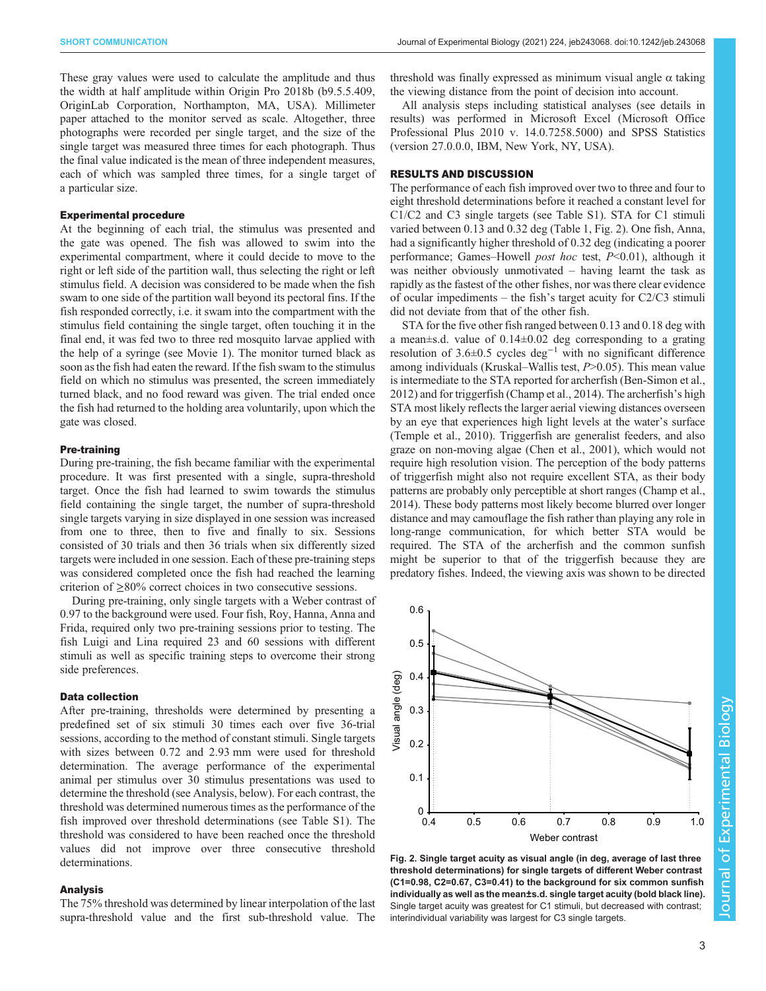<span id="page-2-0"></span>These gray values were used to calculate the amplitude and thus the width at half amplitude within Origin Pro 2018b (b9.5.5.409, OriginLab Corporation, Northampton, MA, USA). Millimeter paper attached to the monitor served as scale. Altogether, three photographs were recorded per single target, and the size of the single target was measured three times for each photograph. Thus the final value indicated is the mean of three independent measures, each of which was sampled three times, for a single target of a particular size.

### Experimental procedure

At the beginning of each trial, the stimulus was presented and the gate was opened. The fish was allowed to swim into the experimental compartment, where it could decide to move to the right or left side of the partition wall, thus selecting the right or left stimulus field. A decision was considered to be made when the fish swam to one side of the partition wall beyond its pectoral fins. If the fish responded correctly, i.e. it swam into the compartment with the stimulus field containing the single target, often touching it in the final end, it was fed two to three red mosquito larvae applied with the help of a syringe (see [Movie 1\)](http://movie.biologists.com/video/10.1242/jeb.243068/video-1). The monitor turned black as soon as the fish had eaten the reward. If the fish swam to the stimulus field on which no stimulus was presented, the screen immediately turned black, and no food reward was given. The trial ended once the fish had returned to the holding area voluntarily, upon which the gate was closed.

### Pre-training

During pre-training, the fish became familiar with the experimental procedure. It was first presented with a single, supra-threshold target. Once the fish had learned to swim towards the stimulus field containing the single target, the number of supra-threshold single targets varying in size displayed in one session was increased from one to three, then to five and finally to six. Sessions consisted of 30 trials and then 36 trials when six differently sized targets were included in one session. Each of these pre-training steps was considered completed once the fish had reached the learning criterion of  $\geq 80\%$  correct choices in two consecutive sessions.

During pre-training, only single targets with a Weber contrast of 0.97 to the background were used. Four fish, Roy, Hanna, Anna and Frida, required only two pre-training sessions prior to testing. The fish Luigi and Lina required 23 and 60 sessions with different stimuli as well as specific training steps to overcome their strong side preferences.

## Data collection

After pre-training, thresholds were determined by presenting a predefined set of six stimuli 30 times each over five 36-trial sessions, according to the method of constant stimuli. Single targets with sizes between 0.72 and 2.93 mm were used for threshold determination. The average performance of the experimental animal per stimulus over 30 stimulus presentations was used to determine the threshold (see Analysis, below). For each contrast, the threshold was determined numerous times as the performance of the fish improved over threshold determinations (see [Table S1](https://journals.biologists.com/jeb/article-lookup/DOI/10.1242/jeb.243068)). The threshold was considered to have been reached once the threshold values did not improve over three consecutive threshold determinations.

## Analysis

The 75% threshold was determined by linear interpolation of the last supra-threshold value and the first sub-threshold value. The threshold was finally expressed as minimum visual angle α taking the viewing distance from the point of decision into account.

All analysis steps including statistical analyses (see details in results) was performed in Microsoft Excel (Microsoft Office Professional Plus 2010 v. 14.0.7258.5000) and SPSS Statistics (version 27.0.0.0, IBM, New York, NY, USA).

#### RESULTS AND DISCUSSION

The performance of each fish improved over two to three and four to eight threshold determinations before it reached a constant level for C1/C2 and C3 single targets (see [Table S1\)](https://journals.biologists.com/jeb/article-lookup/DOI/10.1242/jeb.243068). STA for C1 stimuli varied between 0.13 and 0.32 deg ([Table 1,](#page-1-0) Fig. 2). One fish, Anna, had a significantly higher threshold of 0.32 deg (indicating a poorer performance; Games–Howell *post hoc* test,  $P<0.01$ ), although it was neither obviously unmotivated – having learnt the task as rapidly as the fastest of the other fishes, nor was there clear evidence of ocular impediments – the fish's target acuity for C2/C3 stimuli did not deviate from that of the other fish.

STA for the five other fish ranged between 0.13 and 0.18 deg with a mean±s.d. value of 0.14±0.02 deg corresponding to a grating resolution of 3.6±0.5 cycles deg<sup>-1</sup> with no significant difference among individuals (Kruskal–Wallis test, P>0.05). This mean value is intermediate to the STA reported for archerfish ([Ben-Simon et al.,](#page-3-0) [2012\)](#page-3-0) and for triggerfish ([Champ et al., 2014\)](#page-3-0). The archerfish's high STA most likely reflects the larger aerial viewing distances overseen by an eye that experiences high light levels at the water's surface [\(Temple et al., 2010\)](#page-4-0). Triggerfish are generalist feeders, and also graze on non-moving algae [\(Chen et al., 2001](#page-3-0)), which would not require high resolution vision. The perception of the body patterns of triggerfish might also not require excellent STA, as their body patterns are probably only perceptible at short ranges [\(Champ et al.,](#page-3-0) [2014\)](#page-3-0). These body patterns most likely become blurred over longer distance and may camouflage the fish rather than playing any role in long-range communication, for which better STA would be required. The STA of the archerfish and the common sunfish might be superior to that of the triggerfish because they are predatory fishes. Indeed, the viewing axis was shown to be directed



Fig. 2. Single target acuity as visual angle (in deg, average of last three threshold determinations) for single targets of different Weber contrast (C1=0.98, C2=0.67, C3=0.41) to the background for six common sunfish individually as well as the mean±s.d. single target acuity (bold black line). Single target acuity was greatest for C1 stimuli, but decreased with contrast; interindividual variability was largest for C3 single targets.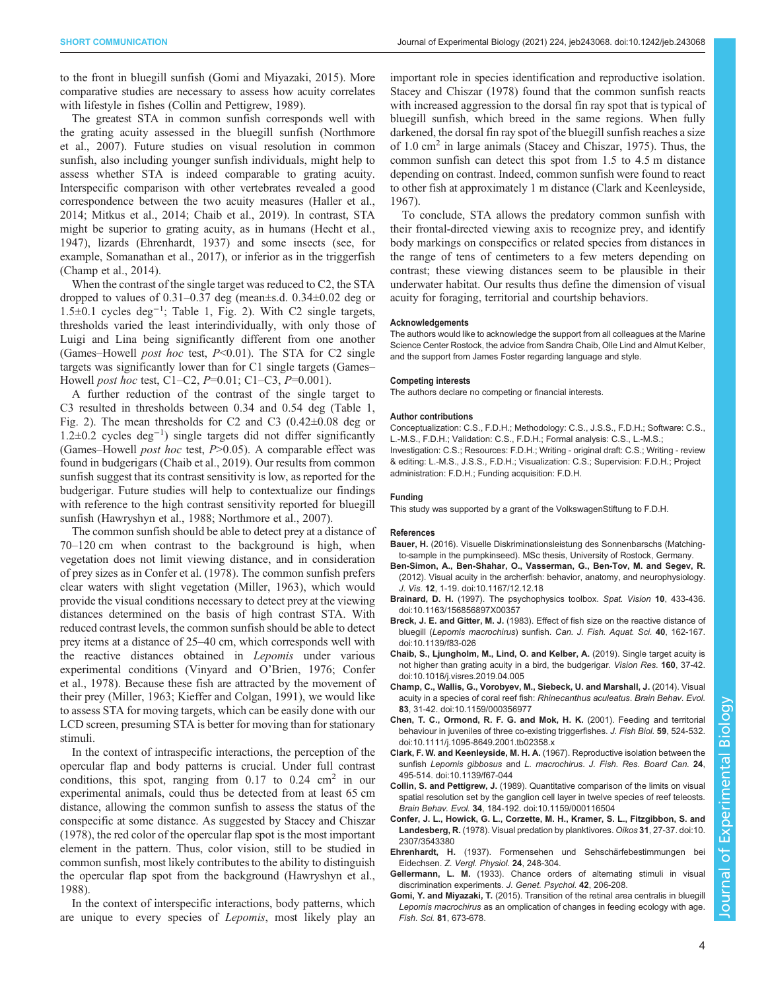<span id="page-3-0"></span>to the front in bluegill sunfish (Gomi and Miyazaki, 2015). More comparative studies are necessary to assess how acuity correlates with lifestyle in fishes (Collin and Pettigrew, 1989).

The greatest STA in common sunfish corresponds well with the grating acuity assessed in the bluegill sunfish ([Northmore](#page-4-0) [et al., 2007](#page-4-0)). Future studies on visual resolution in common sunfish, also including younger sunfish individuals, might help to assess whether STA is indeed comparable to grating acuity. Interspecific comparison with other vertebrates revealed a good correspondence between the two acuity measures [\(Haller et al.,](#page-4-0) [2014](#page-4-0); [Mitkus et al., 2014;](#page-4-0) Chaib et al., 2019). In contrast, STA might be superior to grating acuity, as in humans [\(Hecht et al.,](#page-4-0) [1947](#page-4-0)), lizards (Ehrenhardt, 1937) and some insects (see, for example, [Somanathan et al., 2017\)](#page-4-0), or inferior as in the triggerfish (Champ et al., 2014).

When the contrast of the single target was reduced to C2, the STA dropped to values of 0.31–0.37 deg (mean±s.d. 0.34±0.02 deg or 1.5±0.1 cycles deg−<sup>1</sup> ; [Table 1,](#page-1-0) [Fig. 2](#page-2-0)). With C2 single targets, thresholds varied the least interindividually, with only those of Luigi and Lina being significantly different from one another (Games–Howell *post hoc* test,  $P \le 0.01$ ). The STA for C2 single targets was significantly lower than for C1 single targets (Games– Howell *post hoc* test, C1–C2, *P*=0.01; C1–C3, *P*=0.001).

A further reduction of the contrast of the single target to C3 resulted in thresholds between 0.34 and 0.54 deg [\(Table 1,](#page-1-0) [Fig. 2\)](#page-2-0). The mean thresholds for C2 and C3  $(0.42\pm0.08$  deg or 1.2±0.2 cycles deg−<sup>1</sup> ) single targets did not differ significantly (Games–Howell *post hoc* test,  $P > 0.05$ ). A comparable effect was found in budgerigars (Chaib et al., 2019). Our results from common sunfish suggest that its contrast sensitivity is low, as reported for the budgerigar. Future studies will help to contextualize our findings with reference to the high contrast sensitivity reported for bluegill sunfish ([Hawryshyn et al., 1988](#page-4-0); [Northmore et al., 2007](#page-4-0)).

The common sunfish should be able to detect prey at a distance of 70–120 cm when contrast to the background is high, when vegetation does not limit viewing distance, and in consideration of prey sizes as in Confer et al. (1978). The common sunfish prefers clear waters with slight vegetation ([Miller, 1963](#page-4-0)), which would provide the visual conditions necessary to detect prey at the viewing distances determined on the basis of high contrast STA. With reduced contrast levels, the common sunfish should be able to detect prey items at a distance of 25–40 cm, which corresponds well with the reactive distances obtained in Lepomis under various experimental conditions [\(Vinyard and O](#page-4-0)'Brien, 1976; Confer et al., 1978). Because these fish are attracted by the movement of their prey ([Miller, 1963; Kieffer and Colgan, 1991\)](#page-4-0), we would like to assess STA for moving targets, which can be easily done with our LCD screen, presuming STA is better for moving than for stationary stimuli.

In the context of intraspecific interactions, the perception of the opercular flap and body patterns is crucial. Under full contrast conditions, this spot, ranging from 0.17 to 0.24 cm<sup>2</sup> in our experimental animals, could thus be detected from at least 65 cm distance, allowing the common sunfish to assess the status of the conspecific at some distance. As suggested by [Stacey and Chiszar](#page-4-0) [\(1978\)](#page-4-0), the red color of the opercular flap spot is the most important element in the pattern. Thus, color vision, still to be studied in common sunfish, most likely contributes to the ability to distinguish the opercular flap spot from the background [\(Hawryshyn et al.,](#page-4-0) [1988](#page-4-0)).

In the context of interspecific interactions, body patterns, which are unique to every species of *Lepomis*, most likely play an

important role in species identification and reproductive isolation. [Stacey and Chiszar \(1978\)](#page-4-0) found that the common sunfish reacts with increased aggression to the dorsal fin ray spot that is typical of bluegill sunfish, which breed in the same regions. When fully darkened, the dorsal fin ray spot of the bluegill sunfish reaches a size of 1.0 cm<sup>2</sup> in large animals [\(Stacey and Chiszar, 1975\)](#page-4-0). Thus, the common sunfish can detect this spot from 1.5 to 4.5 m distance depending on contrast. Indeed, common sunfish were found to react to other fish at approximately 1 m distance (Clark and Keenleyside, 1967).

To conclude, STA allows the predatory common sunfish with their frontal-directed viewing axis to recognize prey, and identify body markings on conspecifics or related species from distances in the range of tens of centimeters to a few meters depending on contrast; these viewing distances seem to be plausible in their underwater habitat. Our results thus define the dimension of visual acuity for foraging, territorial and courtship behaviors.

#### Acknowledgements

The authors would like to acknowledge the support from all colleagues at the Marine Science Center Rostock, the advice from Sandra Chaib, Olle Lind and Almut Kelber, and the support from James Foster regarding language and style.

#### Competing interests

The authors declare no competing or financial interests.

#### Author contributions

Conceptualization: C.S., F.D.H.; Methodology: C.S., J.S.S., F.D.H.; Software: C.S., L.-M.S., F.D.H.; Validation: C.S., F.D.H.; Formal analysis: C.S., L.-M.S.; Investigation: C.S.; Resources: F.D.H.; Writing - original draft: C.S.; Writing - review & editing: L.-M.S., J.S.S., F.D.H.; Visualization: C.S.; Supervision: F.D.H.; Project administration: F.D.H.; Funding acquisition: F.D.H.

## Funding

This study was supported by a grant of the VolkswagenStiftung to F.D.H.

#### References

- Bauer, H. (2016). Visuelle Diskriminationsleistung des Sonnenbarschs (Matchingto-sample in the pumpkinseed). MSc thesis, University of Rostock, Germany.
- [Ben-Simon, A., Ben-Shahar, O., Vasserman, G., Ben-Tov, M. and Segev, R.](https://doi.org/10.1167/12.12.18) [\(2012\). Visual acuity in the archerfish: behavior, anatomy, and neurophysiology.](https://doi.org/10.1167/12.12.18) J. Vis. 12[, 1-19. doi:10.1167/12.12.18](https://doi.org/10.1167/12.12.18)
- Brainard, D. H. [\(1997\). The psychophysics toolbox.](https://doi.org/10.1163/156856897X00357) Spat. Vision 10, 433-436. [doi:10.1163/156856897X00357](https://doi.org/10.1163/156856897X00357)
- Breck, J. E. and Gitter, M. J. [\(1983\). Effect of fish size on the reactive distance of](https://doi.org/10.1139/f83-026) bluegill (Lepomis macrochirus) sunfish. [Can. J. Fish. Aquat. Sci.](https://doi.org/10.1139/f83-026) 40, 162-167. [doi:10.1139/f83-026](https://doi.org/10.1139/f83-026)
- [Chaib, S., Ljungholm, M., Lind, O. and Kelber, A.](https://doi.org/10.1016/j.visres.2019.04.005) (2019). Single target acuity is [not higher than grating acuity in a bird, the budgerigar.](https://doi.org/10.1016/j.visres.2019.04.005) Vision Res. 160, 37-42. [doi:10.1016/j.visres.2019.04.005](https://doi.org/10.1016/j.visres.2019.04.005)
- [Champ, C., Wallis, G., Vorobyev, M., Siebeck, U. and Marshall, J.](https://doi.org/10.1159/000356977) (2014). Visual [acuity in a species of coral reef fish:](https://doi.org/10.1159/000356977) Rhinecanthus aculeatus. Brain Behav. Evol. 83[, 31-42. doi:10.1159/000356977](https://doi.org/10.1159/000356977)
- [Chen, T. C., Ormond, R. F. G. and Mok, H. K.](https://doi.org/10.1111/j.1095-8649.2001.tb02358.x) (2001). Feeding and territorial [behaviour in juveniles of three co-existing triggerfishes.](https://doi.org/10.1111/j.1095-8649.2001.tb02358.x) J. Fish Biol. 59, 524-532. [doi:10.1111/j.1095-8649.2001.tb02358.x](https://doi.org/10.1111/j.1095-8649.2001.tb02358.x)
- Clark, F. W. and Keenleyside, M. H. A. [\(1967\). Reproductive isolation between the](https://doi.org/10.1139/f67-044) sunfish Lepomis gibbosus and L. macrochirus. [J. Fish. Res. Board Can.](https://doi.org/10.1139/f67-044) 24, [495-514. doi:10.1139/f67-044](https://doi.org/10.1139/f67-044)
- Collin, S. and Pettigrew, J. [\(1989\). Quantitative comparison of the limits on visual](https://doi.org/10.1159/000116504) [spatial resolution set by the ganglion cell layer in twelve species of reef teleosts.](https://doi.org/10.1159/000116504) Brain Behav. Evol. 34[, 184-192. doi:10.1159/000116504](https://doi.org/10.1159/000116504)
- [Confer, J. L., Howick, G. L., Corzette, M. H., Kramer, S. L., Fitzgibbon, S. and](https://doi.org/10.2307/3543380) Landesberg, R. [\(1978\). Visual predation by planktivores.](https://doi.org/10.2307/3543380) Oikos 31, 27-37. doi:10. [2307/3543380](https://doi.org/10.2307/3543380)
- Ehrenhardt, H. (1937). Formensehen und Sehschärfebestimmungen bei Eidechsen. Z. Vergl. Physiol. 24, 248-304.
- Gellermann, L. M. (1933). Chance orders of alternating stimuli in visual discrimination experiments. J. Genet. Psychol. 42, 206-208.
- Gomi, Y. and Miyazaki, T. (2015). Transition of the retinal area centralis in bluegill Lepomis macrochirus as an omplication of changes in feeding ecology with age. Fish. Sci. 81, 673-678.